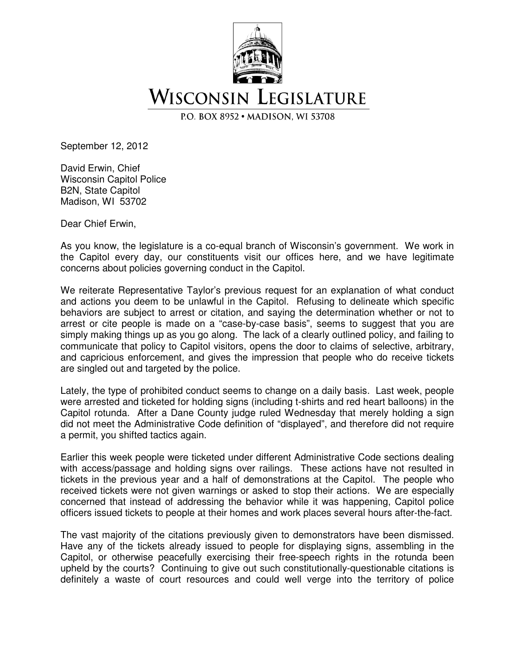

P.O. BOX 8952 · MADISON, WI 53708

September 12, 2012

David Erwin, Chief Wisconsin Capitol Police B2N, State Capitol Madison, WI 53702

Dear Chief Erwin,

As you know, the legislature is a co-equal branch of Wisconsin's government. We work in the Capitol every day, our constituents visit our offices here, and we have legitimate concerns about policies governing conduct in the Capitol.

We reiterate Representative Taylor's previous request for an explanation of what conduct and actions you deem to be unlawful in the Capitol. Refusing to delineate which specific behaviors are subject to arrest or citation, and saying the determination whether or not to arrest or cite people is made on a "case-by-case basis", seems to suggest that you are simply making things up as you go along. The lack of a clearly outlined policy, and failing to communicate that policy to Capitol visitors, opens the door to claims of selective, arbitrary, and capricious enforcement, and gives the impression that people who do receive tickets are singled out and targeted by the police.

Lately, the type of prohibited conduct seems to change on a daily basis. Last week, people were arrested and ticketed for holding signs (including t-shirts and red heart balloons) in the Capitol rotunda. After a Dane County judge ruled Wednesday that merely holding a sign did not meet the Administrative Code definition of "displayed", and therefore did not require a permit, you shifted tactics again.

Earlier this week people were ticketed under different Administrative Code sections dealing with access/passage and holding signs over railings. These actions have not resulted in tickets in the previous year and a half of demonstrations at the Capitol. The people who received tickets were not given warnings or asked to stop their actions. We are especially concerned that instead of addressing the behavior while it was happening, Capitol police officers issued tickets to people at their homes and work places several hours after-the-fact.

The vast majority of the citations previously given to demonstrators have been dismissed. Have any of the tickets already issued to people for displaying signs, assembling in the Capitol, or otherwise peacefully exercising their free-speech rights in the rotunda been upheld by the courts? Continuing to give out such constitutionally-questionable citations is definitely a waste of court resources and could well verge into the territory of police